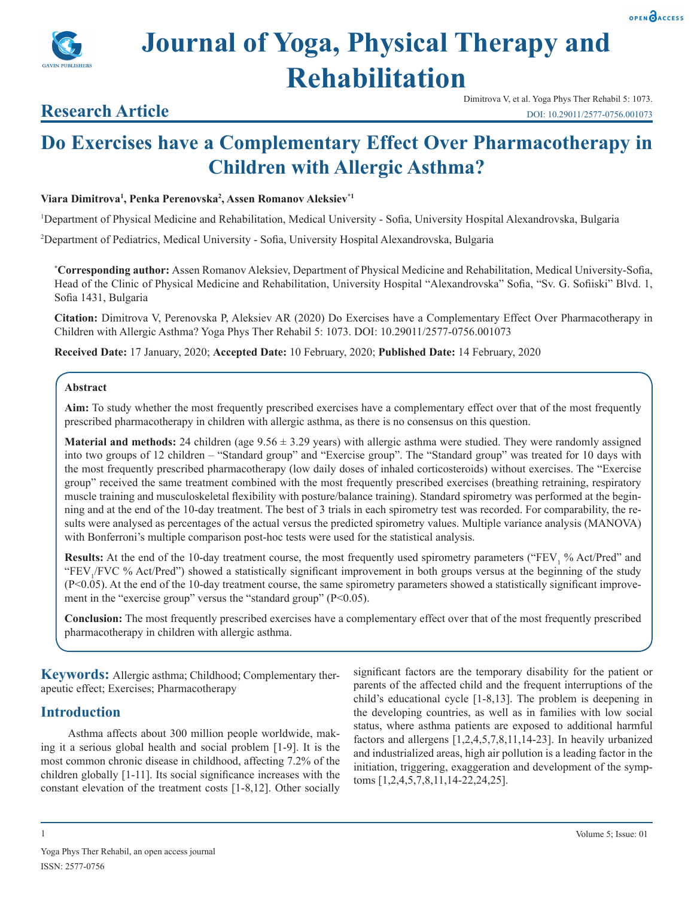



## **Research Article**

# **Do Exercises have a Complementary Effect Over Pharmacotherapy in Children with Allergic Asthma?**

#### **Viara Dimitrova1 , Penka Perenovska2 , Assen Romanov Aleksiev\*1**

1 Department of Physical Medicine and Rehabilitation, Medical University - Sofia, University Hospital Alexandrovska, Bulgaria

2 Department of Pediatrics, Medical University - Sofia, University Hospital Alexandrovska, Bulgaria

**\* Corresponding author:** Assen Romanov Aleksiev, Department of Physical Medicine and Rehabilitation, Medical University-Sofia, Head of the Clinic of Physical Medicine and Rehabilitation, University Hospital "Alexandrovska" Sofia, "Sv. G. Sofiiski" Blvd. 1, Sofia 1431, Bulgaria

**Citation:** Dimitrova V, Perenovska P, Aleksiev AR (2020) Do Exercises have a Complementary Effect Over Pharmacotherapy in Children with Allergic Asthma? Yoga Phys Ther Rehabil 5: 1073. DOI: 10.29011/2577-0756.001073

**Received Date:** 17 January, 2020; **Accepted Date:** 10 February, 2020; **Published Date:** 14 February, 2020

#### **Abstract**

**Aim:** To study whether the most frequently prescribed exercises have a complementary effect over that of the most frequently prescribed pharmacotherapy in children with allergic asthma, as there is no consensus on this question.

**Material and methods:** 24 children (age  $9.56 \pm 3.29$  years) with allergic asthma were studied. They were randomly assigned into two groups of 12 children – "Standard group" and "Exercise group". The "Standard group" was treated for 10 days with the most frequently prescribed pharmacotherapy (low daily doses of inhaled corticosteroids) without exercises. The "Exercise group" received the same treatment combined with the most frequently prescribed exercises (breathing retraining, respiratory muscle training and musculoskeletal flexibility with posture/balance training). Standard spirometry was performed at the beginning and at the end of the 10-day treatment. The best of 3 trials in each spirometry test was recorded. For comparability, the results were analysed as percentages of the actual versus the predicted spirometry values. Multiple variance analysis (MANOVA) with Bonferroni's multiple comparison post-hoc tests were used for the statistical analysis.

**Results:** At the end of the 10-day treatment course, the most frequently used spirometry parameters ("FEV<sub>1</sub> % Act/Pred" and "FEV<sub>1</sub>/FVC % Act/Pred") showed a statistically significant improvement in both groups versus at the beginning of the study (P<0.05). At the end of the 10-day treatment course, the same spirometry parameters showed a statistically significant improvement in the "exercise group" versus the "standard group" (P<0.05).

**Conclusion:** The most frequently prescribed exercises have a complementary effect over that of the most frequently prescribed pharmacotherapy in children with allergic asthma.

**Keywords:** Allergic asthma; Childhood; Complementary therapeutic effect; Exercises; Pharmacotherapy

### **Introduction**

Asthma affects about 300 million people worldwide, making it a serious global health and social problem [1-9]. It is the most common chronic disease in childhood, affecting 7.2% of the children globally [1-11]. Its social significance increases with the constant elevation of the treatment costs [1-8,12]. Other socially significant factors are the temporary disability for the patient or parents of the affected child and the frequent interruptions of the child's educational cycle [1-8,13]. The problem is deepening in the developing countries, as well as in families with low social status, where asthma patients are exposed to additional harmful factors and allergens [1,2,4,5,7,8,11,14-23]. In heavily urbanized and industrialized areas, high air pollution is a leading factor in the initiation, triggering, exaggeration and development of the symptoms [1,2,4,5,7,8,11,14-22,24,25].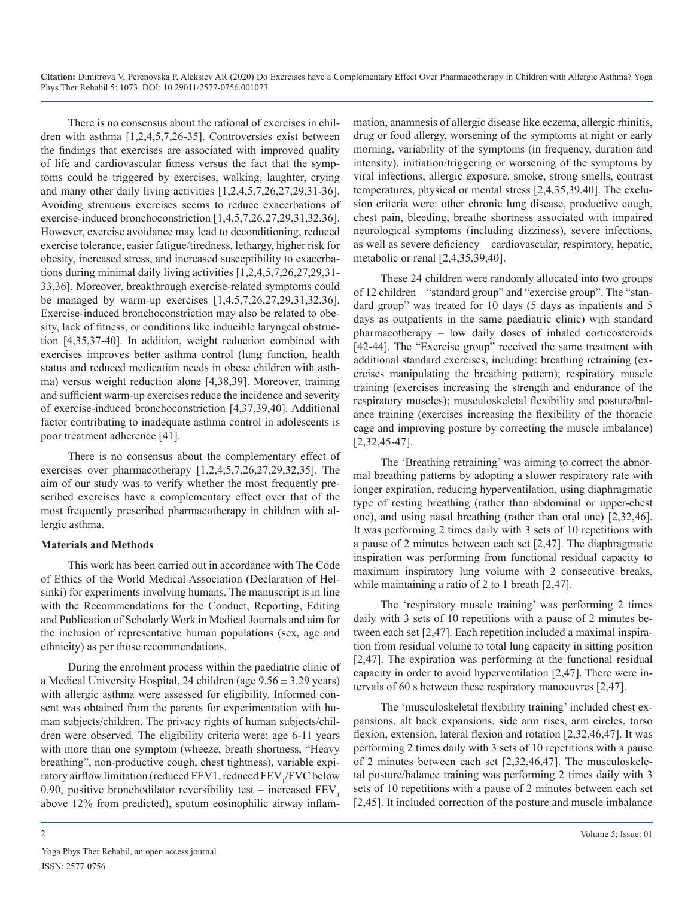There is no consensus about the rational of exercises in children with asthma [1,2,4,5,7,26-35]. Controversies exist between the findings that exercises are associated with improved quality of life and cardiovascular fitness versus the fact that the symptoms could be triggered by exercises, walking, laughter, crying and many other daily living activities [1,2,4,5,7,26,27,29,31-36]. Avoiding strenuous exercises seems to reduce exacerbations of exercise-induced bronchoconstriction [1,4,5,7,26,27,29,31,32,36]. However, exercise avoidance may lead to deconditioning, reduced exercise tolerance, easier fatigue/tiredness, lethargy, higher risk for obesity, increased stress, and increased susceptibility to exacerbations during minimal daily living activities [1,2,4,5,7,26,27,29,31- 33,36]. Moreover, breakthrough exercise-related symptoms could be managed by warm-up exercises [1,4,5,7,26,27,29,31,32,36]. Exercise-induced bronchoconstriction may also be related to obesity, lack of fitness, or conditions like inducible laryngeal obstruction [4,35,37-40]. In addition, weight reduction combined with exercises improves better asthma control (lung function, health status and reduced medication needs in obese children with asthma) versus weight reduction alone [4,38,39]. Moreover, training and sufficient warm-up exercises reduce the incidence and severity of exercise-induced bronchoconstriction [4,37,39,40]. Additional factor contributing to inadequate asthma control in adolescents is poor treatment adherence [41].

There is no consensus about the complementary effect of exercises over pharmacotherapy [1,2,4,5,7,26,27,29,32,35]. The aim of our study was to verify whether the most frequently prescribed exercises have a complementary effect over that of the most frequently prescribed pharmacotherapy in children with allergic asthma.

#### **Materials and Methods**

This work has been carried out in accordance with The Code of Ethics of the World Medical Association (Declaration of Helsinki) for experiments involving humans. The manuscript is in line with the Recommendations for the Conduct, Reporting, Editing and Publication of Scholarly Work in Medical Journals and aim for the inclusion of representative human populations (sex, age and ethnicity) as per those recommendations.

During the enrolment process within the paediatric clinic of a Medical University Hospital, 24 children (age  $9.56 \pm 3.29$  years) with allergic asthma were assessed for eligibility. Informed consent was obtained from the parents for experimentation with human subjects/children. The privacy rights of human subjects/children were observed. The eligibility criteria were: age 6-11 years with more than one symptom (wheeze, breath shortness, "Heavy breathing", non-productive cough, chest tightness), variable expiratory airflow limitation (reduced FEV1, reduced FEV<sub>1</sub>/FVC below 0.90, positive bronchodilator reversibility test – increased  $FEV$ . above 12% from predicted), sputum eosinophilic airway inflammation, anamnesis of allergic disease like eczema, allergic rhinitis, drug or food allergy, worsening of the symptoms at night or early morning, variability of the symptoms (in frequency, duration and intensity), initiation/triggering or worsening of the symptoms by viral infections, allergic exposure, smoke, strong smells, contrast temperatures, physical or mental stress [2,4,35,39,40]. The exclusion criteria were: other chronic lung disease, productive cough, chest pain, bleeding, breathe shortness associated with impaired neurological symptoms (including dizziness), severe infections, as well as severe deficiency – cardiovascular, respiratory, hepatic, metabolic or renal [2,4,35,39,40].

These 24 children were randomly allocated into two groups of 12 children – "standard group" and "exercise group". The "standard group" was treated for 10 days (5 days as inpatients and 5 days as outpatients in the same paediatric clinic) with standard pharmacotherapy – low daily doses of inhaled corticosteroids [42-44]. The "Exercise group" received the same treatment with additional standard exercises, including: breathing retraining (exercises manipulating the breathing pattern); respiratory muscle training (exercises increasing the strength and endurance of the respiratory muscles); musculoskeletal flexibility and posture/balance training (exercises increasing the flexibility of the thoracic cage and improving posture by correcting the muscle imbalance) [2,32,45-47].

The 'Breathing retraining' was aiming to correct the abnormal breathing patterns by adopting a slower respiratory rate with longer expiration, reducing hyperventilation, using diaphragmatic type of resting breathing (rather than abdominal or upper-chest one), and using nasal breathing (rather than oral one) [2,32,46]. It was performing 2 times daily with 3 sets of 10 repetitions with a pause of 2 minutes between each set [2,47]. The diaphragmatic inspiration was performing from functional residual capacity to maximum inspiratory lung volume with 2 consecutive breaks, while maintaining a ratio of 2 to 1 breath [2,47].

The 'respiratory muscle training' was performing 2 times daily with 3 sets of 10 repetitions with a pause of 2 minutes between each set [2,47]. Each repetition included a maximal inspiration from residual volume to total lung capacity in sitting position [2,47]. The expiration was performing at the functional residual capacity in order to avoid hyperventilation [2,47]. There were intervals of 60 s between these respiratory manoeuvres [2,47].

The 'musculoskeletal flexibility training' included chest expansions, alt back expansions, side arm rises, arm circles, torso flexion, extension, lateral flexion and rotation [2,32,46,47]. It was performing 2 times daily with 3 sets of 10 repetitions with a pause of 2 minutes between each set [2,32,46,47]. The musculoskeletal posture/balance training was performing 2 times daily with 3 sets of 10 repetitions with a pause of 2 minutes between each set [2,45]. It included correction of the posture and muscle imbalance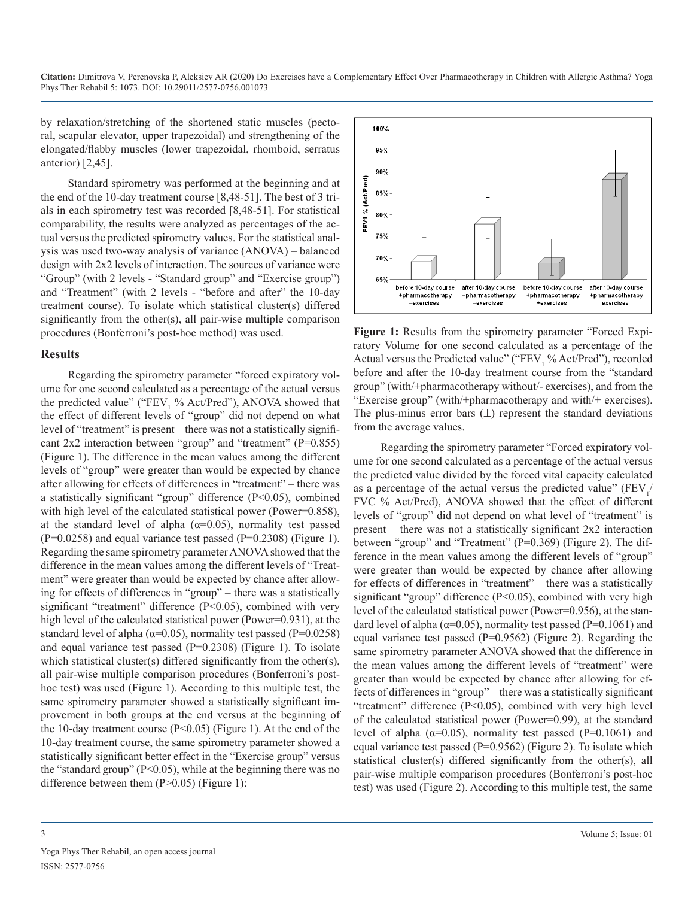by relaxation/stretching of the shortened static muscles (pectoral, scapular elevator, upper trapezoidal) and strengthening of the elongated/flabby muscles (lower trapezoidal, rhomboid, serratus anterior) [2,45].

Standard spirometry was performed at the beginning and at the end of the 10-day treatment course [8,48-51]. The best of 3 trials in each spirometry test was recorded [8,48-51]. For statistical comparability, the results were analyzed as percentages of the actual versus the predicted spirometry values. For the statistical analysis was used two-way analysis of variance (ANOVA) – balanced design with 2x2 levels of interaction. The sources of variance were "Group" (with 2 levels - "Standard group" and "Exercise group") and "Treatment" (with 2 levels - "before and after" the 10-day treatment course). To isolate which statistical cluster(s) differed significantly from the other(s), all pair-wise multiple comparison procedures (Bonferroni's post-hoc method) was used.

#### **Results**

Regarding the spirometry parameter "forced expiratory volume for one second calculated as a percentage of the actual versus the predicted value" (" $FEV_1$  % Act/Pred"), ANOVA showed that the effect of different levels of "group" did not depend on what level of "treatment" is present – there was not a statistically significant 2x2 interaction between "group" and "treatment" (P=0.855) (Figure 1). The difference in the mean values among the different levels of "group" were greater than would be expected by chance after allowing for effects of differences in "treatment" – there was a statistically significant "group" difference (P<0.05), combined with high level of the calculated statistical power (Power=0.858), at the standard level of alpha ( $\alpha$ =0.05), normality test passed  $(P=0.0258)$  and equal variance test passed  $(P=0.2308)$  (Figure 1). Regarding the same spirometry parameter ANOVA showed that the difference in the mean values among the different levels of "Treatment" were greater than would be expected by chance after allowing for effects of differences in "group" – there was a statistically significant "treatment" difference (P<0.05), combined with very high level of the calculated statistical power (Power=0.931), at the standard level of alpha ( $\alpha$ =0.05), normality test passed (P=0.0258) and equal variance test passed (P=0.2308) (Figure 1). To isolate which statistical cluster(s) differed significantly from the other(s), all pair-wise multiple comparison procedures (Bonferroni's posthoc test) was used (Figure 1). According to this multiple test, the same spirometry parameter showed a statistically significant improvement in both groups at the end versus at the beginning of the 10-day treatment course (P<0.05) (Figure 1). At the end of the 10-day treatment course, the same spirometry parameter showed a statistically significant better effect in the "Exercise group" versus the "standard group"  $(P<0.05)$ , while at the beginning there was no difference between them (P>0.05) (Figure 1):



**Figure 1:** Results from the spirometry parameter "Forced Expiratory Volume for one second calculated as a percentage of the Actual versus the Predicted value" (" $FEV<sub>1</sub>$ % Act/Pred"), recorded before and after the 10-day treatment course from the "standard group" (with/+pharmacotherapy without/- exercises), and from the "Exercise group" (with/+pharmacotherapy and with/+ exercises). The plus-minus error bars  $($  $\perp$ ) represent the standard deviations from the average values.

Regarding the spirometry parameter "Forced expiratory volume for one second calculated as a percentage of the actual versus the predicted value divided by the forced vital capacity calculated as a percentage of the actual versus the predicted value"  $(FEV_1 /$ FVC % Act/Pred), ANOVA showed that the effect of different levels of "group" did not depend on what level of "treatment" is present – there was not a statistically significant 2x2 interaction between "group" and "Treatment" (P=0.369) (Figure 2). The difference in the mean values among the different levels of "group" were greater than would be expected by chance after allowing for effects of differences in "treatment" – there was a statistically significant "group" difference (P<0.05), combined with very high level of the calculated statistical power (Power=0.956), at the standard level of alpha ( $\alpha$ =0.05), normality test passed (P=0.1061) and equal variance test passed ( $P=0.9562$ ) (Figure 2). Regarding the same spirometry parameter ANOVA showed that the difference in the mean values among the different levels of "treatment" were greater than would be expected by chance after allowing for effects of differences in "group" – there was a statistically significant "treatment" difference (P<0.05), combined with very high level of the calculated statistical power (Power=0.99), at the standard level of alpha ( $\alpha$ =0.05), normality test passed (P=0.1061) and equal variance test passed (P=0.9562) (Figure 2). To isolate which statistical cluster(s) differed significantly from the other(s), all pair-wise multiple comparison procedures (Bonferroni's post-hoc test) was used (Figure 2). According to this multiple test, the same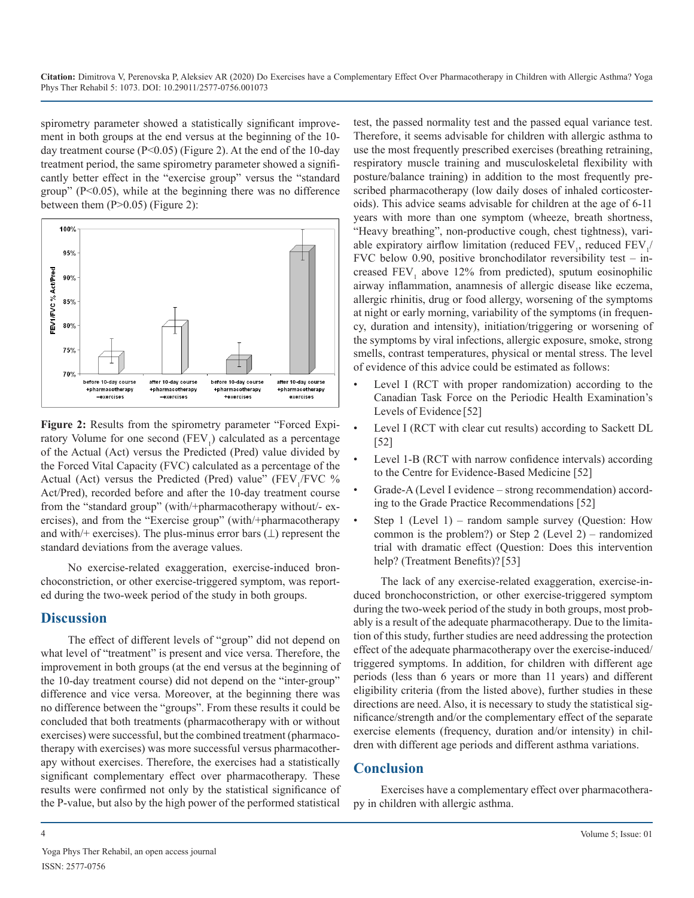spirometry parameter showed a statistically significant improvement in both groups at the end versus at the beginning of the 10 day treatment course (P<0.05) (Figure 2). At the end of the 10-day treatment period, the same spirometry parameter showed a significantly better effect in the "exercise group" versus the "standard group"  $(P<0.05)$ , while at the beginning there was no difference between them  $(P>0.05)$  (Figure 2):



Figure 2: Results from the spirometry parameter "Forced Expiratory Volume for one second  $(FEV<sub>1</sub>)$  calculated as a percentage of the Actual (Act) versus the Predicted (Pred) value divided by the Forced Vital Capacity (FVC) calculated as a percentage of the Actual (Act) versus the Predicted (Pred) value" ( $FEV_1/FVC$  % Act/Pred), recorded before and after the 10-day treatment course from the "standard group" (with/+pharmacotherapy without/- exercises), and from the "Exercise group" (with/+pharmacotherapy and with/+ exercises). The plus-minus error bars  $(\perp)$  represent the standard deviations from the average values.

No exercise-related exaggeration, exercise-induced bronchoconstriction, or other exercise-triggered symptom, was reported during the two-week period of the study in both groups.

## **Discussion**

The effect of different levels of "group" did not depend on what level of "treatment" is present and vice versa. Therefore, the improvement in both groups (at the end versus at the beginning of the 10-day treatment course) did not depend on the "inter-group" difference and vice versa. Moreover, at the beginning there was no difference between the "groups". From these results it could be concluded that both treatments (pharmacotherapy with or without exercises) were successful, but the combined treatment (pharmacotherapy with exercises) was more successful versus pharmacotherapy without exercises. Therefore, the exercises had a statistically significant complementary effect over pharmacotherapy. These results were confirmed not only by the statistical significance of the P-value, but also by the high power of the performed statistical

test, the passed normality test and the passed equal variance test. Therefore, it seems advisable for children with allergic asthma to use the most frequently prescribed exercises (breathing retraining, respiratory muscle training and musculoskeletal flexibility with posture/balance training) in addition to the most frequently prescribed pharmacotherapy (low daily doses of inhaled corticosteroids). This advice seams advisable for children at the age of 6-11 years with more than one symptom (wheeze, breath shortness, "Heavy breathing", non-productive cough, chest tightness), variable expiratory airflow limitation (reduced  $FEV_1$ , reduced  $FEV_1$ / FVC below 0.90, positive bronchodilator reversibility test  $-$  increased  $FEV<sub>1</sub>$  above 12% from predicted), sputum eosinophilic airway inflammation, anamnesis of allergic disease like eczema, allergic rhinitis, drug or food allergy, worsening of the symptoms at night or early morning, variability of the symptoms (in frequency, duration and intensity), initiation/triggering or worsening of the symptoms by viral infections, allergic exposure, smoke, strong smells, contrast temperatures, physical or mental stress. The level of evidence of this advice could be estimated as follows:

- Level I (RCT with proper randomization) according to the Canadian Task Force on the Periodic Health Examination's Levels of Evidence [52]
- Level I (RCT with clear cut results) according to Sackett DL [52]
- Level 1-B (RCT with narrow confidence intervals) according to the Centre for Evidence-Based Medicine [52]
- Grade-A (Level I evidence strong recommendation) according to the Grade Practice Recommendations [52]
- Step 1 (Level 1) random sample survey (Question: How common is the problem?) or Step 2 (Level 2) – randomized trial with dramatic effect (Question: Does this intervention help? (Treatment Benefits)? [53]

The lack of any exercise-related exaggeration, exercise-induced bronchoconstriction, or other exercise-triggered symptom during the two-week period of the study in both groups, most probably is a result of the adequate pharmacotherapy. Due to the limitation of this study, further studies are need addressing the protection effect of the adequate pharmacotherapy over the exercise-induced/ triggered symptoms. In addition, for children with different age periods (less than 6 years or more than 11 years) and different eligibility criteria (from the listed above), further studies in these directions are need. Also, it is necessary to study the statistical significance/strength and/or the complementary effect of the separate exercise elements (frequency, duration and/or intensity) in children with different age periods and different asthma variations.

## **Conclusion**

Exercises have a complementary effect over pharmacotherapy in children with allergic asthma.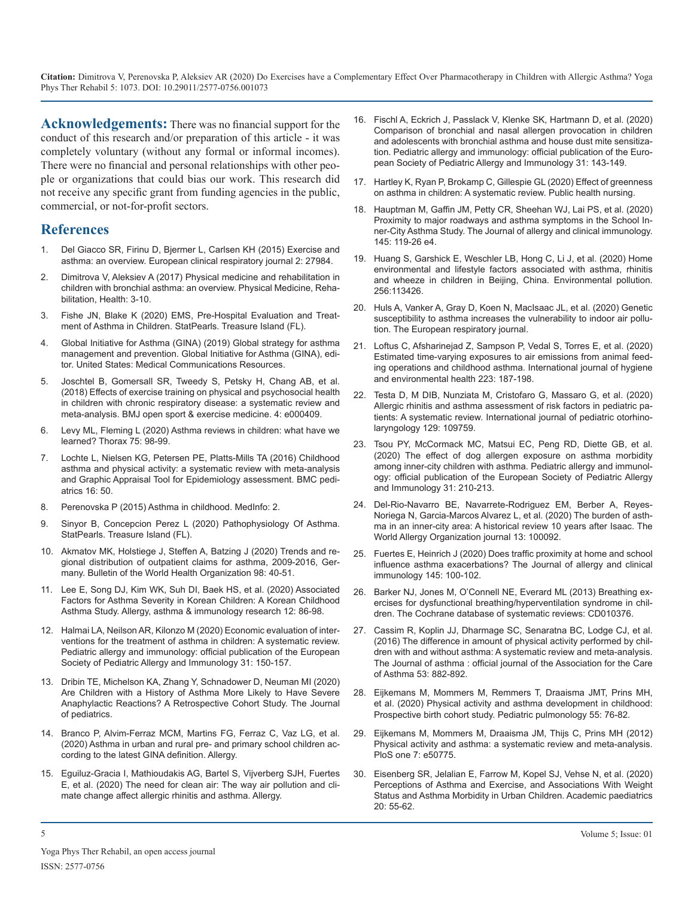**Acknowledgements:** There was no financial support for the conduct of this research and/or preparation of this article - it was completely voluntary (without any formal or informal incomes). There were no financial and personal relationships with other people or organizations that could bias our work. This research did [not receive any specific grant from funding agencies in the public,](https://www.ncbi.nlm.nih.gov/pubmed/31899558)  commercial, or not-for-profit sectors.

## **References**

- 1. [Del Giacco SR, Firinu D, Bjermer L, Carlsen KH \(2015\) Exercise and](https://www.tandfonline.com/doi/full/10.3402/ecrj.v2.27984)  [asthma: an overview. European clinical respiratory journal 2: 27984.](https://www.tandfonline.com/doi/full/10.3402/ecrj.v2.27984)
- 2. Dimitrova V, Aleksiev A (2017) Physical medicine and rehabilitation in children with bronchial asthma: an overview. Physical Medicine, Rehabilitation, Health: 3-10.
- 3. [Fishe JN, Blake K \(2020\) EMS, Pre-Hospital Evaluation and Treat](https://www.ncbi.nlm.nih.gov/pubmed/30480949)[ment of Asthma in Children. StatPearls. Treasure Island \(FL\).](https://www.ncbi.nlm.nih.gov/pubmed/30480949)
- 4. [Global Initiative for Asthma \(GINA\) \(2019\) Global strategy for asthma](https://ginasthma.org/)  [management and prevention. Global Initiative for Asthma \(GINA\), edi](https://ginasthma.org/)[tor. United States: Medical Communications Resources.](https://ginasthma.org/)
- 5. [Joschtel B, Gomersall SR, Tweedy S, Petsky H, Chang AB, et al.](https://www.ncbi.nlm.nih.gov/pubmed/30305925) [\(2018\) Effects of exercise training on physical and psychosocial health](https://www.ncbi.nlm.nih.gov/pubmed/30305925)  [in children with chronic respiratory disease: a systematic review and](https://www.ncbi.nlm.nih.gov/pubmed/30305925)  [meta-analysis. BMJ open sport & exercise medicine. 4: e000409](https://www.ncbi.nlm.nih.gov/pubmed/30305925).
- 6. [Levy ML, Fleming L \(2020\) Asthma reviews in children: what have we](https://thorax.bmj.com/content/75/2/98)  [learned? Thorax 75: 98-99](https://thorax.bmj.com/content/75/2/98).
- 7. [Lochte L, Nielsen KG, Petersen PE, Platts-Mills TA \(2016\) Childhood](https://bmcpediatr.biomedcentral.com/articles/10.1186/s12887-016-0571-4)  [asthma and physical activity: a systematic review with meta-analysis](https://bmcpediatr.biomedcentral.com/articles/10.1186/s12887-016-0571-4)  [and Graphic Appraisal Tool for Epidemiology assessment. BMC pedi](https://bmcpediatr.biomedcentral.com/articles/10.1186/s12887-016-0571-4)[atrics 16: 50.](https://bmcpediatr.biomedcentral.com/articles/10.1186/s12887-016-0571-4)
- 8. Perenovska P (2015) Asthma in childhood. MedInfo: 2.
- 9. [Sinyor B, Concepcion Perez L \(2020\) Pathophysiology Of Asthma.](https://www.ncbi.nlm.nih.gov/books/NBK551579/)  [StatPearls. Treasure Island \(FL\).](https://www.ncbi.nlm.nih.gov/books/NBK551579/)
- 10. [Akmatov MK, Holstiege J, Steffen A, Batzing J \(2020\) Trends and re](https://apps.who.int/iris/handle/10665/330387)[gional distribution of outpatient claims for asthma, 2009-2016, Ger](https://apps.who.int/iris/handle/10665/330387)[many. Bulletin of the World Health Organization 98: 40-51.](https://apps.who.int/iris/handle/10665/330387)
- 11. [Lee E, Song DJ, Kim WK, Suh DI, Baek HS, et al. \(2020\) Associated](https://www.ncbi.nlm.nih.gov/pmc/articles/PMC6875483/)  [Factors for Asthma Severity in Korean Children: A Korean Childhood](https://www.ncbi.nlm.nih.gov/pmc/articles/PMC6875483/)  [Asthma Study. Allergy, asthma & immunology research 12: 86-98](https://www.ncbi.nlm.nih.gov/pmc/articles/PMC6875483/).
- 12. [Halmai LA, Neilson AR, Kilonzo M \(2020\) Economic evaluation of inter](https://onlinelibrary.wiley.com/doi/abs/10.1111/pai.13129)[ventions for the treatment of asthma in children: A systematic review.](https://onlinelibrary.wiley.com/doi/abs/10.1111/pai.13129) [Pediatric allergy and immunology: official publication of the European](https://onlinelibrary.wiley.com/doi/abs/10.1111/pai.13129)  [Society of Pediatric Allergy and Immunology 31: 150-157](https://onlinelibrary.wiley.com/doi/abs/10.1111/pai.13129).
- 13. [Dribin TE, Michelson KA, Zhang Y, Schnadower D, Neuman MI \(2020\)](https://www.jpeds.com/article/S0022-3476(19)31652-X/fulltext)  [Are Children with a History of Asthma More Likely to Have Severe](https://www.jpeds.com/article/S0022-3476(19)31652-X/fulltext)  [Anaphylactic Reactions? A Retrospective Cohort Study. The Journal](https://www.jpeds.com/article/S0022-3476(19)31652-X/fulltext) [of pediatrics](https://www.jpeds.com/article/S0022-3476(19)31652-X/fulltext).
- 14. [Branco P, Alvim-Ferraz MCM, Martins FG, Ferraz C, Vaz LG, et al.](https://onlinelibrary.wiley.com/doi/abs/10.1111/all.14201?af=R)  [\(2020\) Asthma in urban and rural pre- and primary school children ac](https://onlinelibrary.wiley.com/doi/abs/10.1111/all.14201?af=R)[cording to the latest GINA definition. Allerg](https://onlinelibrary.wiley.com/doi/abs/10.1111/all.14201?af=R)y.
- 15. [Eguiluz-Gracia I, Mathioudakis AG, Bartel S, Vijverberg SJH, Fuertes](https://www.ncbi.nlm.nih.gov/pubmed/31916265)  [E, et al. \(2020\) The need for clean air: The way air pollution and cli](https://www.ncbi.nlm.nih.gov/pubmed/31916265)[mate change affect allergic rhinitis and asthma. Allergy.](https://www.ncbi.nlm.nih.gov/pubmed/31916265)
- 16. [Fischl A, Eckrich J, Passlack V, Klenke SK, Hartmann D, et al. \(2020\)](https://www.ncbi.nlm.nih.gov/pubmed/31660641)  [Comparison of bronchial and nasal allergen provocation in children](https://www.ncbi.nlm.nih.gov/pubmed/31660641)  [and adolescents with bronchial asthma and house dust mite sensitiza](https://www.ncbi.nlm.nih.gov/pubmed/31660641)[tion. Pediatric allergy and immunology: official publication of the Euro](https://www.ncbi.nlm.nih.gov/pubmed/31660641)[pean Society of Pediatric Allergy and Immunology 31: 143-149](https://www.ncbi.nlm.nih.gov/pubmed/31660641).
- 17. [Hartley K, Ryan P, Brokamp C, Gillespie GL \(2020\) Effect of greenness](https://www.ncbi.nlm.nih.gov/pubmed/31899558)  on asthma in children: A systematic review. Public health nursing.
- 18. [Hauptman M, Gaffin JM, Petty CR, Sheehan WJ, Lai PS, et al. \(2020\)](https://www.ncbi.nlm.nih.gov/pubmed/31557500)  [Proximity to major roadways and asthma symptoms in the School In](https://www.ncbi.nlm.nih.gov/pubmed/31557500)[ner-City Asthma Study. The Journal of allergy and clinical immunology.](https://www.ncbi.nlm.nih.gov/pubmed/31557500)  [145: 119-26 e4](https://www.ncbi.nlm.nih.gov/pubmed/31557500).
- 19. [Huang S, Garshick E, Weschler LB, Hong C, Li J, et al. \(2020\) Home](https://www.researchgate.net/publication/336732949_Home_environmental_and_lifestyle_factors_associated_with_asthma_rhinitis_and_wheeze_in_children_in_Beijing_China) [environmental and lifestyle factors associated with asthma, rhinitis](https://www.researchgate.net/publication/336732949_Home_environmental_and_lifestyle_factors_associated_with_asthma_rhinitis_and_wheeze_in_children_in_Beijing_China)  [and wheeze in children in Beijing, China. Environmental pollution.](https://www.researchgate.net/publication/336732949_Home_environmental_and_lifestyle_factors_associated_with_asthma_rhinitis_and_wheeze_in_children_in_Beijing_China)  [256:113426.](https://www.researchgate.net/publication/336732949_Home_environmental_and_lifestyle_factors_associated_with_asthma_rhinitis_and_wheeze_in_children_in_Beijing_China)
- 20. [Huls A, Vanker A, Gray D, Koen N, MacIsaac JL, et al. \(2020\) Genetic](https://erj.ersjournals.com/content/early/2020/01/03/13993003.01831-2019) [susceptibility to asthma increases the vulnerability to indoor air pollu](https://erj.ersjournals.com/content/early/2020/01/03/13993003.01831-2019)[tion. The European respiratory journal](https://erj.ersjournals.com/content/early/2020/01/03/13993003.01831-2019).
- 21. [Loftus C, Afsharinejad Z, Sampson P, Vedal S, Torres E, et al. \(2020\)](https://www.sciencedirect.com/science/article/pii/S1438463919306637) [Estimated time-varying exposures to air emissions from animal feed](https://www.sciencedirect.com/science/article/pii/S1438463919306637)[ing operations and childhood asthma. International journal of hygiene](https://www.sciencedirect.com/science/article/pii/S1438463919306637)  [and environmental health 223: 187-198](https://www.sciencedirect.com/science/article/pii/S1438463919306637).
- 22. [Testa D, M DIB, Nunziata M, Cristofaro G, Massaro G, et al. \(2020\)](https://www.sciencedirect.com/science/article/abs/pii/S0165587619305129)  [Allergic rhinitis and asthma assessment of risk factors in pediatric pa](https://www.sciencedirect.com/science/article/abs/pii/S0165587619305129)[tients: A systematic review. International journal of pediatric otorhino](https://www.sciencedirect.com/science/article/abs/pii/S0165587619305129)[laryngology 129: 109759.](https://www.sciencedirect.com/science/article/abs/pii/S0165587619305129)
- 23. [Tsou PY, McCormack MC, Matsui EC, Peng RD, Diette GB, et al.](https://onlinelibrary.wiley.com/doi/abs/10.1111/pai.13144)  [\(2020\) The effect of dog allergen exposure on asthma morbidity](https://onlinelibrary.wiley.com/doi/abs/10.1111/pai.13144)  [among inner-city children with asthma. Pediatric allergy and immunol](https://onlinelibrary.wiley.com/doi/abs/10.1111/pai.13144)[ogy: official publication of the European Society of Pediatric Allergy](https://onlinelibrary.wiley.com/doi/abs/10.1111/pai.13144) [and Immunology 31: 210-213](https://onlinelibrary.wiley.com/doi/abs/10.1111/pai.13144).
- 24. [Del-Rio-Navarro BE, Navarrete-Rodriguez EM, Berber A, Reyes-](https://www.sciencedirect.com/science/article/pii/S1939455119312487)[Noriega N, Garcia-Marcos Alvarez L, et al. \(2020\) The burden of asth](https://www.sciencedirect.com/science/article/pii/S1939455119312487)[ma in an inner-city area: A historical review 10 years after Isaac. The](https://www.sciencedirect.com/science/article/pii/S1939455119312487)  [World Allergy Organization journal 13: 100092](https://www.sciencedirect.com/science/article/pii/S1939455119312487).
- 25. [Fuertes E, Heinrich J \(2020\) Does traffic proximity at home and school](https://www.jacionline.org/article/S0091-6749(19)31483-6/abstract)  [influence asthma exacerbations? The Journal of allergy and clinical](https://www.jacionline.org/article/S0091-6749(19)31483-6/abstract)  [immunology 145: 100-102.](https://www.jacionline.org/article/S0091-6749(19)31483-6/abstract)
- 26. [Barker NJ, Jones M, O'Connell NE, Everard ML \(2013\) Breathing ex](https://www.cochranelibrary.com/cdsr/doi/10.1002/14651858.CD010376.pub2/abstract)[ercises for dysfunctional breathing/hyperventilation syndrome in chil](https://www.cochranelibrary.com/cdsr/doi/10.1002/14651858.CD010376.pub2/abstract)[dren. The Cochrane database of systematic reviews: CD010376](https://www.cochranelibrary.com/cdsr/doi/10.1002/14651858.CD010376.pub2/abstract).
- 27. [Cassim R, Koplin JJ, Dharmage SC, Senaratna BC, Lodge CJ, et al.](https://www.researchgate.net/publication/301897227_The_difference_in_amount_of_physical_activity_performed_by_children_with_and_without_asthma_A_systematic_review_and_meta-analysis)  (2016) The difference in amount of physical activity performed by chil[dren with and without asthma: A systematic review and meta-analysis.](https://www.researchgate.net/publication/301897227_The_difference_in_amount_of_physical_activity_performed_by_children_with_and_without_asthma_A_systematic_review_and_meta-analysis)  [The Journal of asthma : official journal of the Association for the Care](https://www.researchgate.net/publication/301897227_The_difference_in_amount_of_physical_activity_performed_by_children_with_and_without_asthma_A_systematic_review_and_meta-analysis) [of Asthma 53: 882-892](https://www.researchgate.net/publication/301897227_The_difference_in_amount_of_physical_activity_performed_by_children_with_and_without_asthma_A_systematic_review_and_meta-analysis).
- 28. [Eijkemans M, Mommers M, Remmers T, Draaisma JMT, Prins MH,](https://www.ncbi.nlm.nih.gov/pubmed/31571422) et al. (2020) Physical activity and asthma development in childhood: [Prospective birth cohort study. Pediatric pulmonology 55: 76-82.](https://www.ncbi.nlm.nih.gov/pubmed/31571422)
- 29. [Eijkemans M, Mommers M, Draaisma JM, Thijs C, Prins MH \(2012\)](https://www.ncbi.nlm.nih.gov/pubmed/23284646) [Physical activity and asthma: a systematic review and meta-analysis.](https://www.ncbi.nlm.nih.gov/pubmed/23284646) [PloS one 7: e50775](https://www.ncbi.nlm.nih.gov/pubmed/23284646).
- 30. [Eisenberg SR, Jelalian E, Farrow M, Kopel SJ, Vehse N, et al. \(2020\)](https://www.ncbi.nlm.nih.gov/pubmed/31301420)  [Perceptions of Asthma and Exercise, and Associations With Weight](https://www.ncbi.nlm.nih.gov/pubmed/31301420)  [Status and Asthma Morbidity in Urban Children. Academic paediatrics](https://www.ncbi.nlm.nih.gov/pubmed/31301420)  [20: 55-62.](https://www.ncbi.nlm.nih.gov/pubmed/31301420)